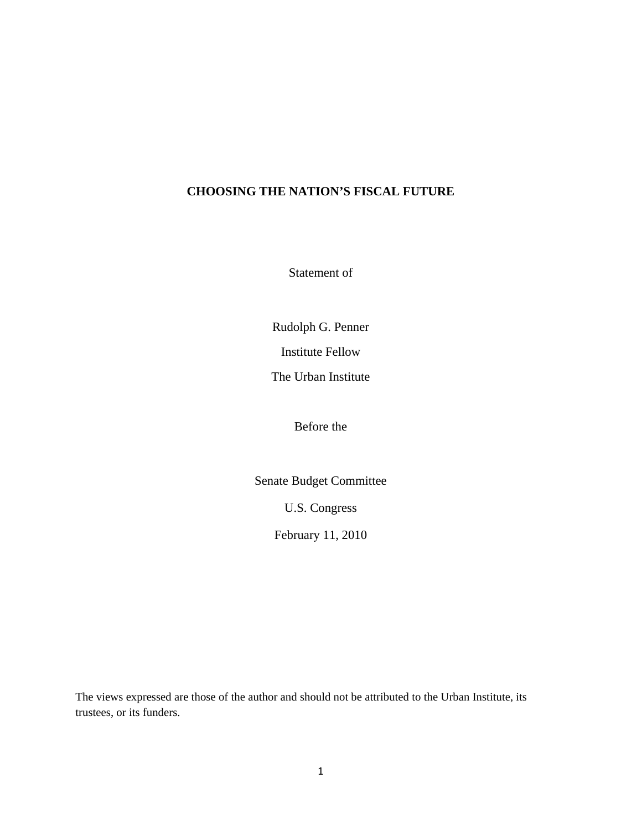## **CHOOSING THE NATION'S FISCAL FUTURE**

Statement of

Rudolph G. Penner

Institute Fellow

The Urban Institute

Before the

Senate Budget Committee

U.S. Congress

February 11, 2010

The views expressed are those of the author and should not be attributed to the Urban Institute, its trustees, or its funders.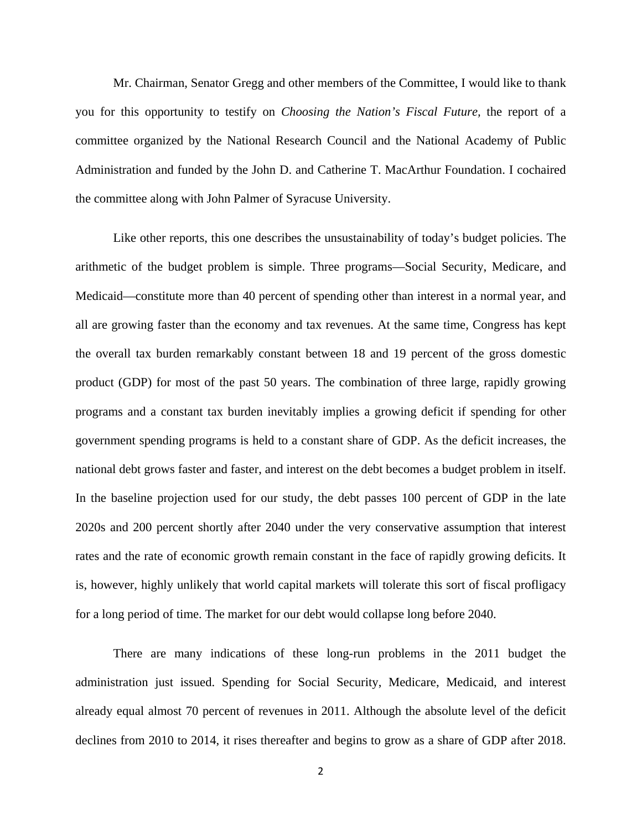Mr. Chairman, Senator Gregg and other members of the Committee, I would like to thank you for this opportunity to testify on *Choosing the Nation's Fiscal Future,* the report of a committee organized by the National Research Council and the National Academy of Public Administration and funded by the John D. and Catherine T. MacArthur Foundation. I cochaired the committee along with John Palmer of Syracuse University.

Like other reports, this one describes the unsustainability of today's budget policies. The arithmetic of the budget problem is simple. Three programs—Social Security, Medicare, and Medicaid—constitute more than 40 percent of spending other than interest in a normal year, and all are growing faster than the economy and tax revenues. At the same time, Congress has kept the overall tax burden remarkably constant between 18 and 19 percent of the gross domestic product (GDP) for most of the past 50 years. The combination of three large, rapidly growing programs and a constant tax burden inevitably implies a growing deficit if spending for other government spending programs is held to a constant share of GDP. As the deficit increases, the national debt grows faster and faster, and interest on the debt becomes a budget problem in itself. In the baseline projection used for our study, the debt passes 100 percent of GDP in the late 2020s and 200 percent shortly after 2040 under the very conservative assumption that interest rates and the rate of economic growth remain constant in the face of rapidly growing deficits. It is, however, highly unlikely that world capital markets will tolerate this sort of fiscal profligacy for a long period of time. The market for our debt would collapse long before 2040.

There are many indications of these long-run problems in the 2011 budget the administration just issued. Spending for Social Security, Medicare, Medicaid, and interest already equal almost 70 percent of revenues in 2011. Although the absolute level of the deficit declines from 2010 to 2014, it rises thereafter and begins to grow as a share of GDP after 2018.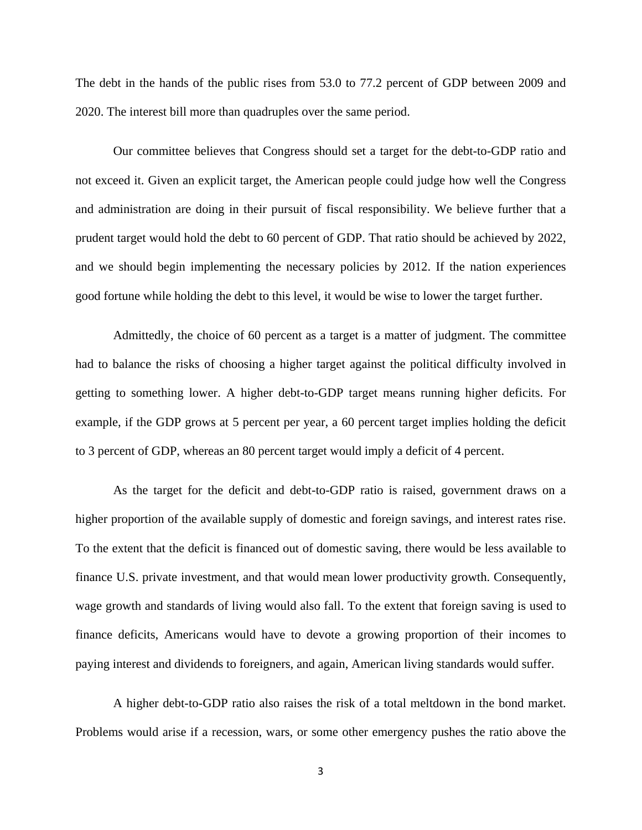The debt in the hands of the public rises from 53.0 to 77.2 percent of GDP between 2009 and 2020. The interest bill more than quadruples over the same period.

Our committee believes that Congress should set a target for the debt-to-GDP ratio and not exceed it. Given an explicit target, the American people could judge how well the Congress and administration are doing in their pursuit of fiscal responsibility. We believe further that a prudent target would hold the debt to 60 percent of GDP. That ratio should be achieved by 2022, and we should begin implementing the necessary policies by 2012. If the nation experiences good fortune while holding the debt to this level, it would be wise to lower the target further.

Admittedly, the choice of 60 percent as a target is a matter of judgment. The committee had to balance the risks of choosing a higher target against the political difficulty involved in getting to something lower. A higher debt-to-GDP target means running higher deficits. For example, if the GDP grows at 5 percent per year, a 60 percent target implies holding the deficit to 3 percent of GDP, whereas an 80 percent target would imply a deficit of 4 percent.

As the target for the deficit and debt-to-GDP ratio is raised, government draws on a higher proportion of the available supply of domestic and foreign savings, and interest rates rise. To the extent that the deficit is financed out of domestic saving, there would be less available to finance U.S. private investment, and that would mean lower productivity growth. Consequently, wage growth and standards of living would also fall. To the extent that foreign saving is used to finance deficits, Americans would have to devote a growing proportion of their incomes to paying interest and dividends to foreigners, and again, American living standards would suffer.

A higher debt-to-GDP ratio also raises the risk of a total meltdown in the bond market. Problems would arise if a recession, wars, or some other emergency pushes the ratio above the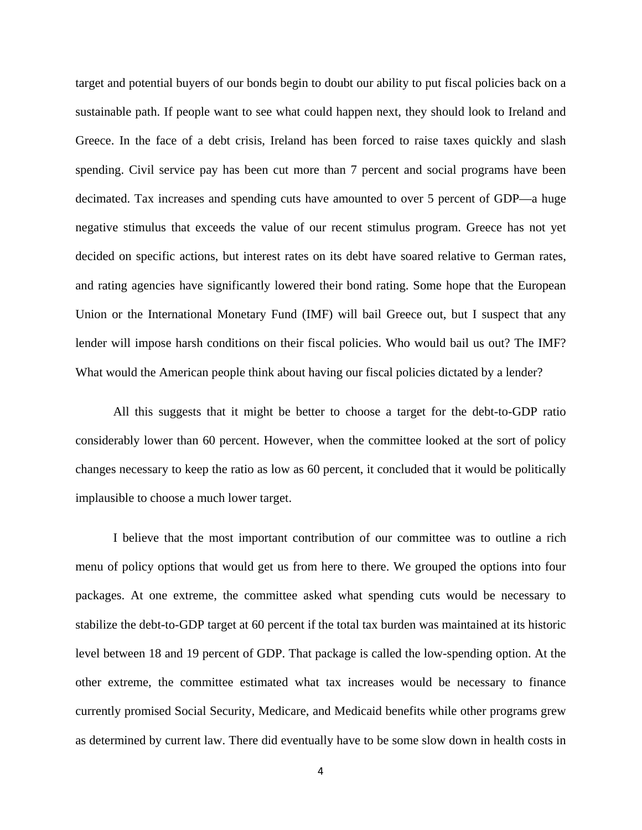target and potential buyers of our bonds begin to doubt our ability to put fiscal policies back on a sustainable path. If people want to see what could happen next, they should look to Ireland and Greece. In the face of a debt crisis, Ireland has been forced to raise taxes quickly and slash spending. Civil service pay has been cut more than 7 percent and social programs have been decimated. Tax increases and spending cuts have amounted to over 5 percent of GDP—a huge negative stimulus that exceeds the value of our recent stimulus program. Greece has not yet decided on specific actions, but interest rates on its debt have soared relative to German rates, and rating agencies have significantly lowered their bond rating. Some hope that the European Union or the International Monetary Fund (IMF) will bail Greece out, but I suspect that any lender will impose harsh conditions on their fiscal policies. Who would bail us out? The IMF? What would the American people think about having our fiscal policies dictated by a lender?

All this suggests that it might be better to choose a target for the debt-to-GDP ratio considerably lower than 60 percent. However, when the committee looked at the sort of policy changes necessary to keep the ratio as low as 60 percent, it concluded that it would be politically implausible to choose a much lower target.

I believe that the most important contribution of our committee was to outline a rich menu of policy options that would get us from here to there. We grouped the options into four packages. At one extreme, the committee asked what spending cuts would be necessary to stabilize the debt-to-GDP target at 60 percent if the total tax burden was maintained at its historic level between 18 and 19 percent of GDP. That package is called the low-spending option. At the other extreme, the committee estimated what tax increases would be necessary to finance currently promised Social Security, Medicare, and Medicaid benefits while other programs grew as determined by current law. There did eventually have to be some slow down in health costs in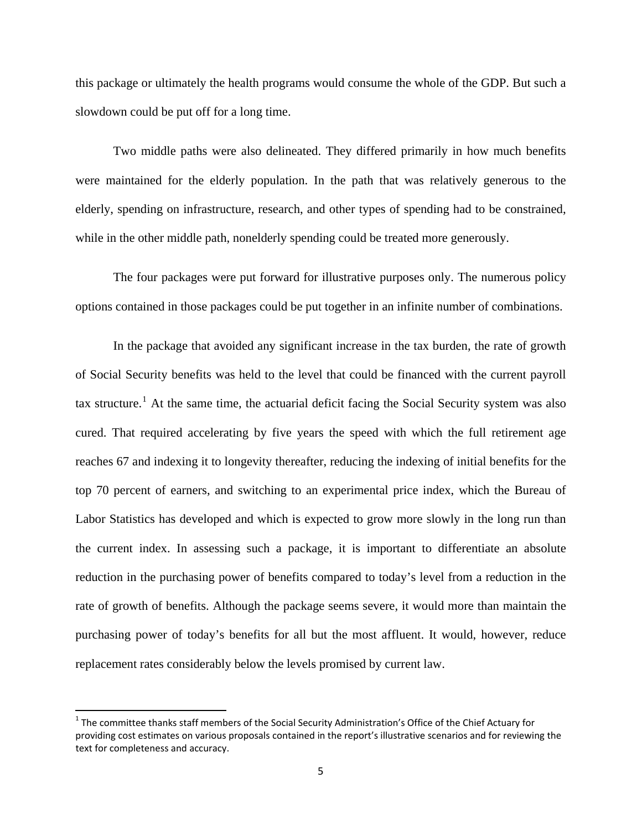this package or ultimately the health programs would consume the whole of the GDP. But such a slowdown could be put off for a long time.

Two middle paths were also delineated. They differed primarily in how much benefits were maintained for the elderly population. In the path that was relatively generous to the elderly, spending on infrastructure, research, and other types of spending had to be constrained, while in the other middle path, nonelderly spending could be treated more generously.

The four packages were put forward for illustrative purposes only. The numerous policy options contained in those packages could be put together in an infinite number of combinations.

In the package that avoided any significant increase in the tax burden, the rate of growth of Social Security benefits was held to the level that could be financed with the current payroll tax structure.<sup>[1](#page-4-0)</sup> At the same time, the actuarial deficit facing the Social Security system was also cured. That required accelerating by five years the speed with which the full retirement age reaches 67 and indexing it to longevity thereafter, reducing the indexing of initial benefits for the top 70 percent of earners, and switching to an experimental price index, which the Bureau of Labor Statistics has developed and which is expected to grow more slowly in the long run than the current index. In assessing such a package, it is important to differentiate an absolute reduction in the purchasing power of benefits compared to today's level from a reduction in the rate of growth of benefits. Although the package seems severe, it would more than maintain the purchasing power of today's benefits for all but the most affluent. It would, however, reduce replacement rates considerably below the levels promised by current law.

<span id="page-4-0"></span> $1$  The committee thanks staff members of the Social Security Administration's Office of the Chief Actuary for providing cost estimates on various proposals contained in the report's illustrative scenarios and for reviewing the text for completeness and accuracy.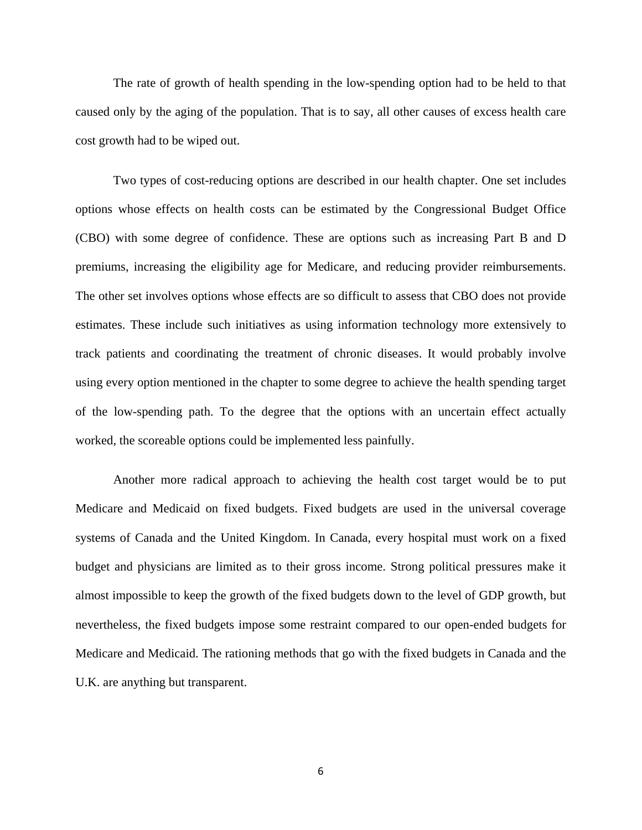The rate of growth of health spending in the low-spending option had to be held to that caused only by the aging of the population. That is to say, all other causes of excess health care cost growth had to be wiped out.

Two types of cost-reducing options are described in our health chapter. One set includes options whose effects on health costs can be estimated by the Congressional Budget Office (CBO) with some degree of confidence. These are options such as increasing Part B and D premiums, increasing the eligibility age for Medicare, and reducing provider reimbursements. The other set involves options whose effects are so difficult to assess that CBO does not provide estimates. These include such initiatives as using information technology more extensively to track patients and coordinating the treatment of chronic diseases. It would probably involve using every option mentioned in the chapter to some degree to achieve the health spending target of the low-spending path. To the degree that the options with an uncertain effect actually worked, the scoreable options could be implemented less painfully.

Another more radical approach to achieving the health cost target would be to put Medicare and Medicaid on fixed budgets. Fixed budgets are used in the universal coverage systems of Canada and the United Kingdom. In Canada, every hospital must work on a fixed budget and physicians are limited as to their gross income. Strong political pressures make it almost impossible to keep the growth of the fixed budgets down to the level of GDP growth, but nevertheless, the fixed budgets impose some restraint compared to our open-ended budgets for Medicare and Medicaid. The rationing methods that go with the fixed budgets in Canada and the U.K. are anything but transparent.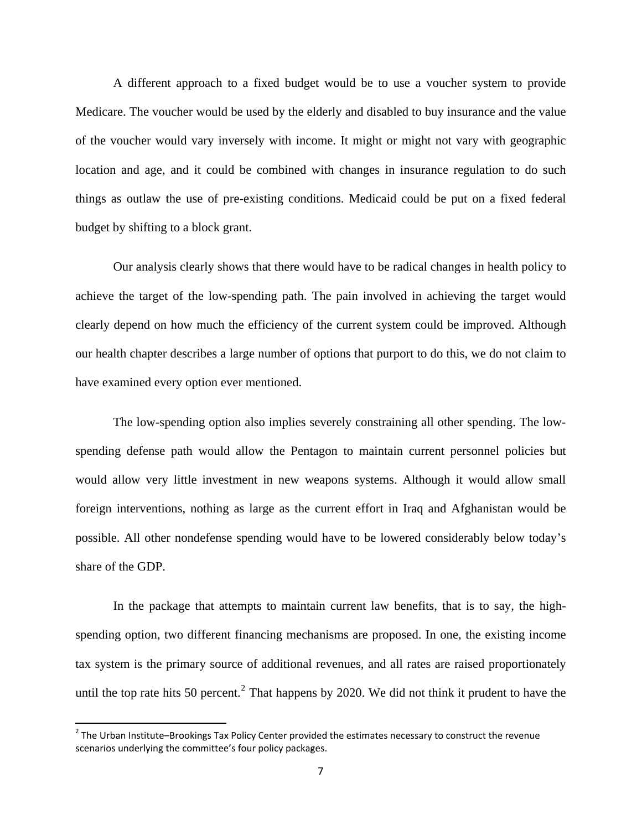A different approach to a fixed budget would be to use a voucher system to provide Medicare. The voucher would be used by the elderly and disabled to buy insurance and the value of the voucher would vary inversely with income. It might or might not vary with geographic location and age, and it could be combined with changes in insurance regulation to do such things as outlaw the use of pre-existing conditions. Medicaid could be put on a fixed federal budget by shifting to a block grant.

Our analysis clearly shows that there would have to be radical changes in health policy to achieve the target of the low-spending path. The pain involved in achieving the target would clearly depend on how much the efficiency of the current system could be improved. Although our health chapter describes a large number of options that purport to do this, we do not claim to have examined every option ever mentioned.

The low-spending option also implies severely constraining all other spending. The lowspending defense path would allow the Pentagon to maintain current personnel policies but would allow very little investment in new weapons systems. Although it would allow small foreign interventions, nothing as large as the current effort in Iraq and Afghanistan would be possible. All other nondefense spending would have to be lowered considerably below today's share of the GDP.

In the package that attempts to maintain current law benefits, that is to say, the highspending option, two different financing mechanisms are proposed. In one, the existing income tax system is the primary source of additional revenues, and all rates are raised proportionately until the top rate hits 50 percent.<sup>[2](#page-6-0)</sup> That happens by 2020. We did not think it prudent to have the

<span id="page-6-0"></span> $2$  The Urban Institute–Brookings Tax Policy Center provided the estimates necessary to construct the revenue scenarios underlying the committee's four policy packages.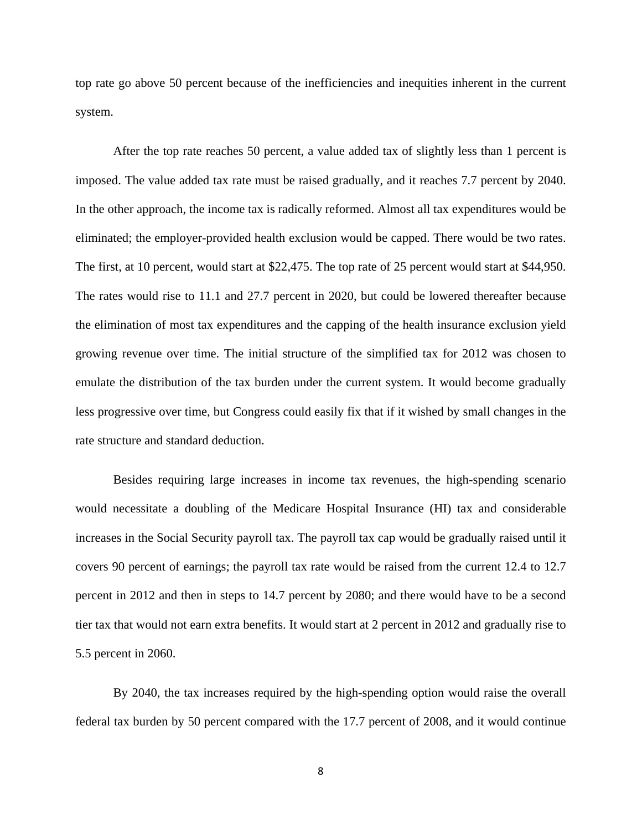top rate go above 50 percent because of the inefficiencies and inequities inherent in the current system.

After the top rate reaches 50 percent, a value added tax of slightly less than 1 percent is imposed. The value added tax rate must be raised gradually, and it reaches 7.7 percent by 2040. In the other approach, the income tax is radically reformed. Almost all tax expenditures would be eliminated; the employer-provided health exclusion would be capped. There would be two rates. The first, at 10 percent, would start at \$22,475. The top rate of 25 percent would start at \$44,950. The rates would rise to 11.1 and 27.7 percent in 2020, but could be lowered thereafter because the elimination of most tax expenditures and the capping of the health insurance exclusion yield growing revenue over time. The initial structure of the simplified tax for 2012 was chosen to emulate the distribution of the tax burden under the current system. It would become gradually less progressive over time, but Congress could easily fix that if it wished by small changes in the rate structure and standard deduction.

Besides requiring large increases in income tax revenues, the high-spending scenario would necessitate a doubling of the Medicare Hospital Insurance (HI) tax and considerable increases in the Social Security payroll tax. The payroll tax cap would be gradually raised until it covers 90 percent of earnings; the payroll tax rate would be raised from the current 12.4 to 12.7 percent in 2012 and then in steps to 14.7 percent by 2080; and there would have to be a second tier tax that would not earn extra benefits. It would start at 2 percent in 2012 and gradually rise to 5.5 percent in 2060.

By 2040, the tax increases required by the high-spending option would raise the overall federal tax burden by 50 percent compared with the 17.7 percent of 2008, and it would continue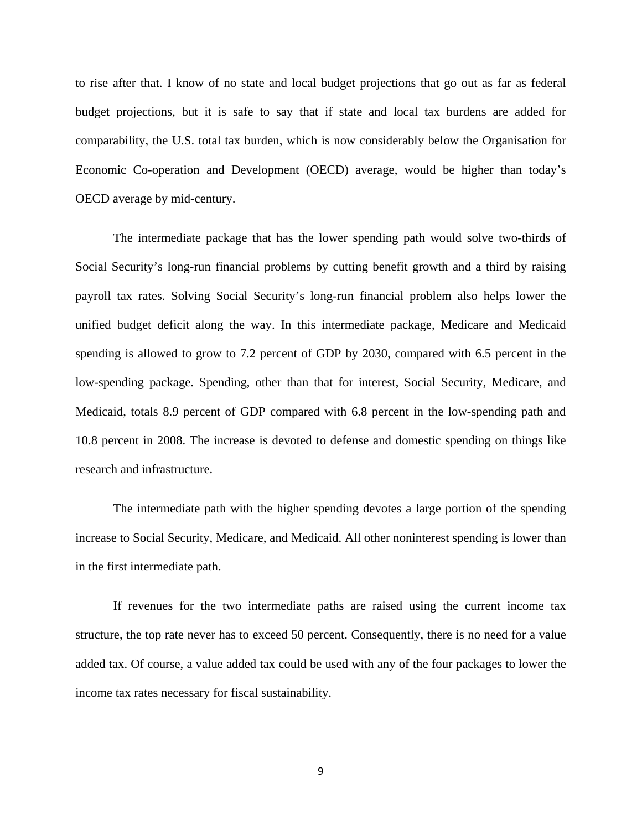to rise after that. I know of no state and local budget projections that go out as far as federal budget projections, but it is safe to say that if state and local tax burdens are added for comparability, the U.S. total tax burden, which is now considerably below the Organisation for Economic Co-operation and Development (OECD) average, would be higher than today's OECD average by mid-century.

The intermediate package that has the lower spending path would solve two-thirds of Social Security's long-run financial problems by cutting benefit growth and a third by raising payroll tax rates. Solving Social Security's long-run financial problem also helps lower the unified budget deficit along the way. In this intermediate package, Medicare and Medicaid spending is allowed to grow to 7.2 percent of GDP by 2030, compared with 6.5 percent in the low-spending package. Spending, other than that for interest, Social Security, Medicare, and Medicaid, totals 8.9 percent of GDP compared with 6.8 percent in the low-spending path and 10.8 percent in 2008. The increase is devoted to defense and domestic spending on things like research and infrastructure.

The intermediate path with the higher spending devotes a large portion of the spending increase to Social Security, Medicare, and Medicaid. All other noninterest spending is lower than in the first intermediate path.

If revenues for the two intermediate paths are raised using the current income tax structure, the top rate never has to exceed 50 percent. Consequently, there is no need for a value added tax. Of course, a value added tax could be used with any of the four packages to lower the income tax rates necessary for fiscal sustainability.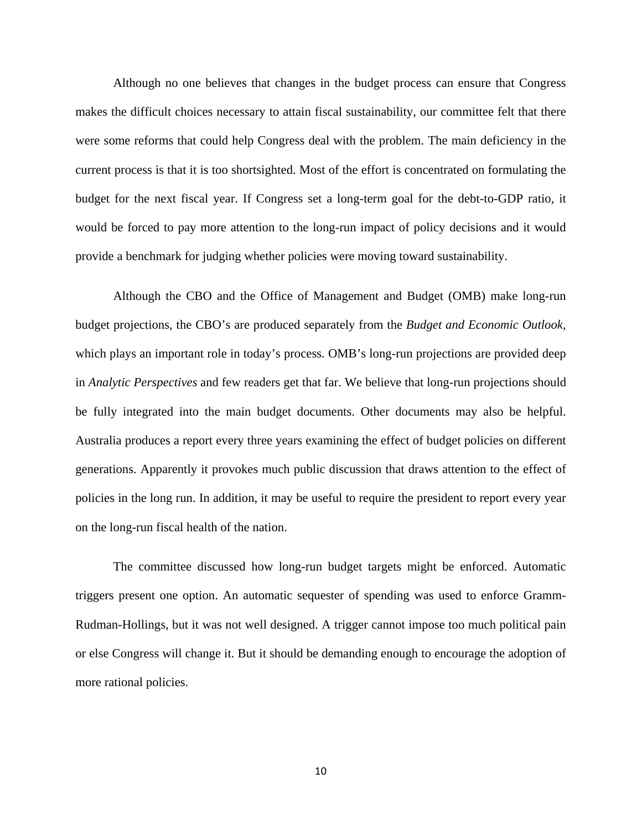Although no one believes that changes in the budget process can ensure that Congress makes the difficult choices necessary to attain fiscal sustainability, our committee felt that there were some reforms that could help Congress deal with the problem. The main deficiency in the current process is that it is too shortsighted. Most of the effort is concentrated on formulating the budget for the next fiscal year. If Congress set a long-term goal for the debt-to-GDP ratio, it would be forced to pay more attention to the long-run impact of policy decisions and it would provide a benchmark for judging whether policies were moving toward sustainability.

Although the CBO and the Office of Management and Budget (OMB) make long-run budget projections, the CBO's are produced separately from the *Budget and Economic Outlook,*  which plays an important role in today's process. OMB's long-run projections are provided deep in *Analytic Perspectives* and few readers get that far. We believe that long-run projections should be fully integrated into the main budget documents. Other documents may also be helpful. Australia produces a report every three years examining the effect of budget policies on different generations. Apparently it provokes much public discussion that draws attention to the effect of policies in the long run. In addition, it may be useful to require the president to report every year on the long-run fiscal health of the nation.

The committee discussed how long-run budget targets might be enforced. Automatic triggers present one option. An automatic sequester of spending was used to enforce Gramm-Rudman-Hollings, but it was not well designed. A trigger cannot impose too much political pain or else Congress will change it. But it should be demanding enough to encourage the adoption of more rational policies.